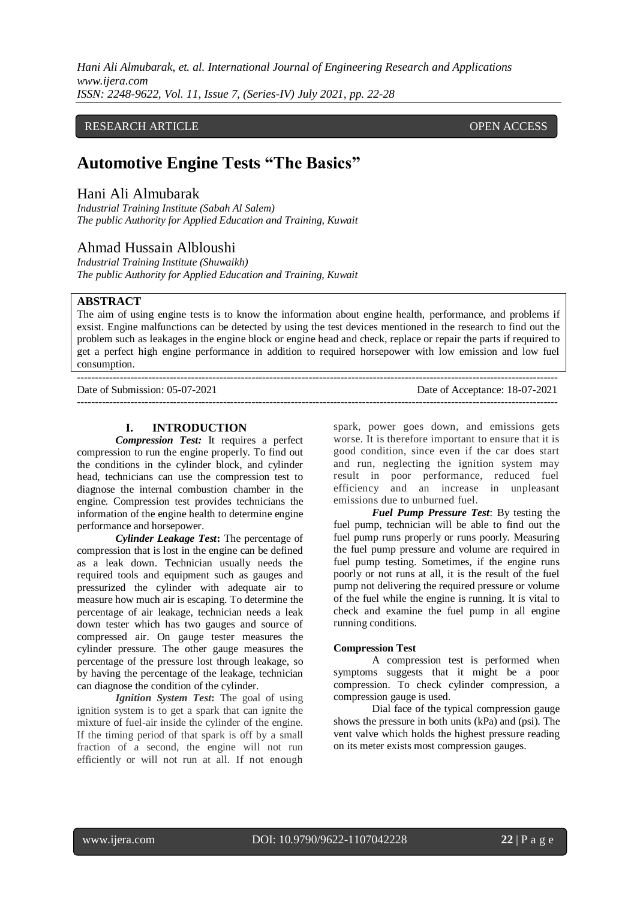*Hani Ali Almubarak, et. al. International Journal of Engineering Research and Applications www.ijera.com ISSN: 2248-9622, Vol. 11, Issue 7, (Series-IV) July 2021, pp. 22-28*

# RESEARCH ARTICLE **CONSERVERS** OPEN ACCESS

# **Automotive Engine Tests "The Basics"**

# Hani Ali Almubarak

*Industrial Training Institute (Sabah Al Salem) The public Authority for Applied Education and Training, Kuwait*

# Ahmad Hussain Albloushi

*Industrial Training Institute (Shuwaikh) The public Authority for Applied Education and Training, Kuwait*

# **ABSTRACT**

The aim of using engine tests is to know the information about engine health, performance, and problems if exsist. Engine malfunctions can be detected by using the test devices mentioned in the research to find out the problem such as leakages in the engine block or engine head and check, replace or repair the parts if required to get a perfect high engine performance in addition to required horsepower with low emission and low fuel consumption.

---------------------------------------------------------------------------------------------------------------------------------------

#### Date of Submission: 05-07-2021 Date of Acceptance: 18-07-2021

---------------------------------------------------------------------------------------------------------------------------------------

### **I. INTRODUCTION**

*Compression Test:* It requires a perfect compression to run the engine properly. To find out the conditions in the cylinder block, and cylinder head, technicians can use the compression test to diagnose the internal combustion chamber in the engine. Compression test provides technicians the information of the engine health to determine engine performance and horsepower.

*Cylinder Leakage Test***:** The percentage of compression that is lost in the engine can be defined as a leak down. Technician usually needs the required tools and equipment such as gauges and pressurized the cylinder with adequate air to measure how much air is escaping. To determine the percentage of air leakage, technician needs a leak down tester which has two gauges and source of compressed air. On gauge tester measures the cylinder pressure. The other gauge measures the percentage of the pressure lost through leakage, so by having the percentage of the leakage, technician can diagnose the condition of the cylinder.

*Ignition System Test***:** The goal of using ignition system is to get a spark that can ignite the mixture of fuel-air inside the cylinder of the engine. If the timing period of that spark is off by a small fraction of a second, the engine will not run efficiently or will not run at all. If not enough spark, power goes down, and emissions gets worse. It is therefore important to ensure that it is good condition, since even if the car does start and run, neglecting the ignition system may result in poor performance, reduced fuel efficiency and an increase in unpleasant emissions due to unburned fuel.

*Fuel Pump Pressure Test*: By testing the fuel pump, technician will be able to find out the fuel pump runs properly or runs poorly. Measuring the fuel pump pressure and volume are required in fuel pump testing. Sometimes, if the engine runs poorly or not runs at all, it is the result of the fuel pump not delivering the required pressure or volume of the fuel while the engine is running. It is vital to check and examine the fuel pump in all engine running conditions.

#### **Compression Test**

A compression test is performed when symptoms suggests that it might be a poor compression. To check cylinder compression, a compression gauge is used.

Dial face of the typical compression gauge shows the pressure in both units (kPa) and (psi). The vent valve which holds the highest pressure reading on its meter exists most compression gauges.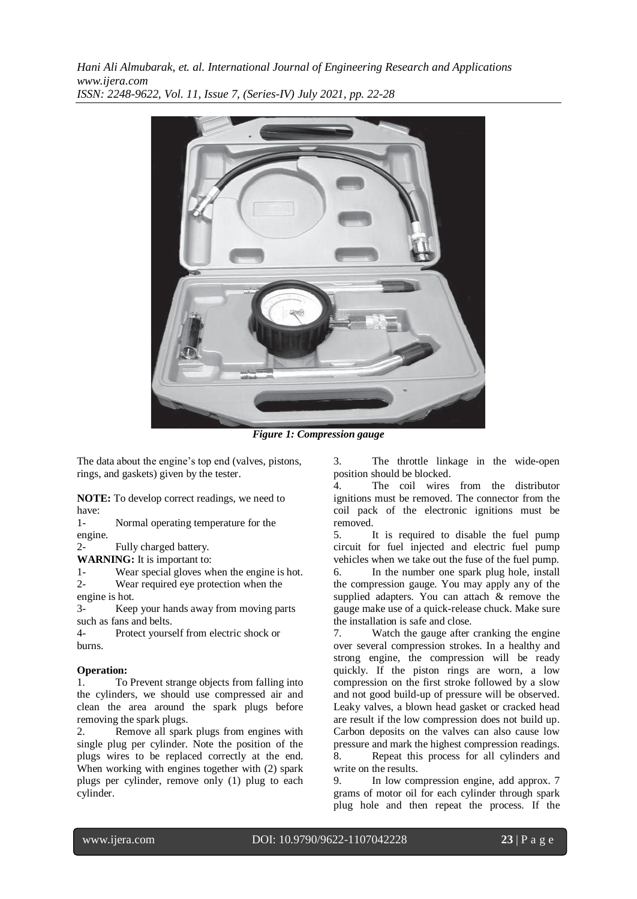*Hani Ali Almubarak, et. al. International Journal of Engineering Research and Applications www.ijera.com ISSN: 2248-9622, Vol. 11, Issue 7, (Series-IV) July 2021, pp. 22-28*



*Figure 1: Compression gauge*

The data about the engine's top end (valves, pistons, rings, and gaskets) given by the tester.

**NOTE:** To develop correct readings, we need to have:

1- Normal operating temperature for the engine.

2- Fully charged battery.

**WARNING:** It is important to:

1- Wear special gloves when the engine is hot.

2- Wear required eye protection when the engine is hot.

3- Keep your hands away from moving parts such as fans and belts.

4- Protect yourself from electric shock or burns.

#### **Operation:**

1. To Prevent strange objects from falling into the cylinders, we should use compressed air and clean the area around the spark plugs before removing the spark plugs.

2. Remove all spark plugs from engines with single plug per cylinder. Note the position of the plugs wires to be replaced correctly at the end. When working with engines together with  $(2)$  spark plugs per cylinder, remove only (1) plug to each cylinder.

3. The throttle linkage in the wide-open position should be blocked.

4. The coil wires from the distributor ignitions must be removed. The connector from the coil pack of the electronic ignitions must be removed.

5. It is required to disable the fuel pump circuit for fuel injected and electric fuel pump vehicles when we take out the fuse of the fuel pump. 6. In the number one spark plug hole, install the compression gauge. You may apply any of the supplied adapters. You can attach & remove the gauge make use of a quick-release chuck. Make sure the installation is safe and close.

7. Watch the gauge after cranking the engine over several compression strokes. In a healthy and strong engine, the compression will be ready quickly. If the piston rings are worn, a low compression on the first stroke followed by a slow and not good build-up of pressure will be observed. Leaky valves, a blown head gasket or cracked head are result if the low compression does not build up. Carbon deposits on the valves can also cause low pressure and mark the highest compression readings. 8. Repeat this process for all cylinders and write on the results.

9. In low compression engine, add approx. 7 grams of motor oil for each cylinder through spark plug hole and then repeat the process. If the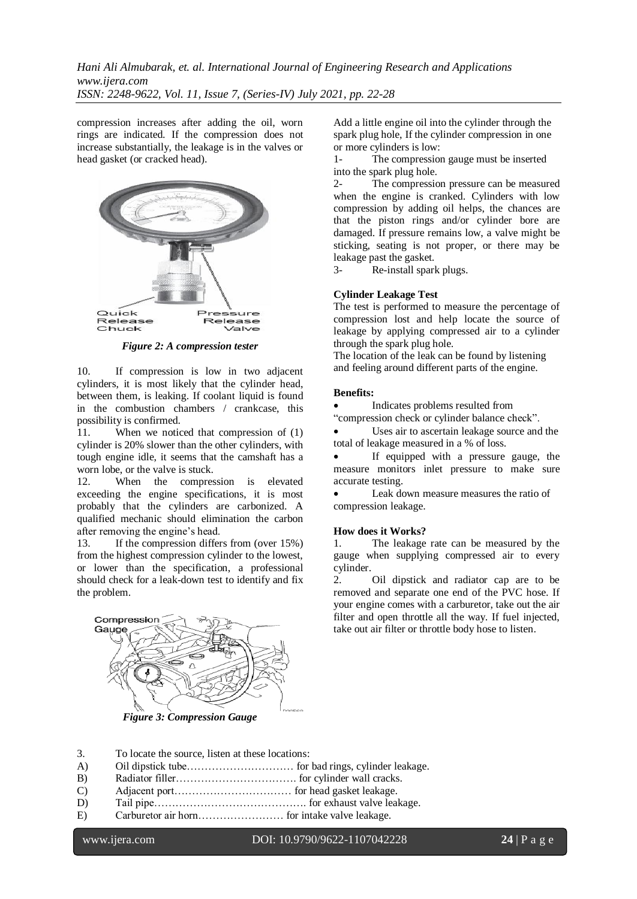*Hani Ali Almubarak, et. al. International Journal of Engineering Research and Applications www.ijera.com ISSN: 2248-9622, Vol. 11, Issue 7, (Series-IV) July 2021, pp. 22-28*

compression increases after adding the oil, worn rings are indicated. If the compression does not increase substantially, the leakage is in the valves or head gasket (or cracked head).



*Figure 2: A compression tester*

10. If compression is low in two adjacent cylinders, it is most likely that the cylinder head, between them, is leaking. If coolant liquid is found in the combustion chambers / crankcase, this possibility is confirmed.

11. When we noticed that compression of (1) cylinder is 20% slower than the other cylinders, with tough engine idle, it seems that the camshaft has a worn lobe, or the valve is stuck.

12. When the compression is elevated exceeding the engine specifications, it is most probably that the cylinders are carbonized. A qualified mechanic should elimination the carbon after removing the engine's head.

13. If the compression differs from (over 15%) from the highest compression cylinder to the lowest, or lower than the specification, a professional should check for a leak-down test to identify and fix the problem.



*Figure 3: Compression Gauge*

Add a little engine oil into the cylinder through the spark plug hole, If the cylinder compression in one or more cylinders is low:<br>1- The compression

The compression gauge must be inserted into the spark plug hole.

2- The compression pressure can be measured when the engine is cranked. Cylinders with low compression by adding oil helps, the chances are that the piston rings and/or cylinder bore are damaged. If pressure remains low, a valve might be sticking, seating is not proper, or there may be leakage past the gasket.

3- Re-install spark plugs.

#### **Cylinder Leakage Test**

The test is performed to measure the percentage of compression lost and help locate the source of leakage by applying compressed air to a cylinder through the spark plug hole.

The location of the leak can be found by listening and feeling around different parts of the engine.

#### **Benefits:**

Indicates problems resulted from

"compression check or cylinder balance check".

 Uses air to ascertain leakage source and the total of leakage measured in a % of loss.

 If equipped with a pressure gauge, the measure monitors inlet pressure to make sure accurate testing.

 Leak down measure measures the ratio of compression leakage.

### **How does it Works?**

1. The leakage rate can be measured by the gauge when supplying compressed air to every cylinder.

2. Oil dipstick and radiator cap are to be removed and separate one end of the PVC hose. If your engine comes with a carburetor, take out the air filter and open throttle all the way. If fuel injected, take out air filter or throttle body hose to listen.

- 3. To locate the source, listen at these locations:
- A) Oil dipstick tube………………………… for bad rings, cylinder leakage.
- B) Radiator filler……………………………. for cylinder wall cracks.
- C) Adjacent port…………………………… for head gasket leakage.
- D) Tail pipe……………………………………. for exhaust valve leakage.
- E) Carburetor air horn…………………… for intake valve leakage.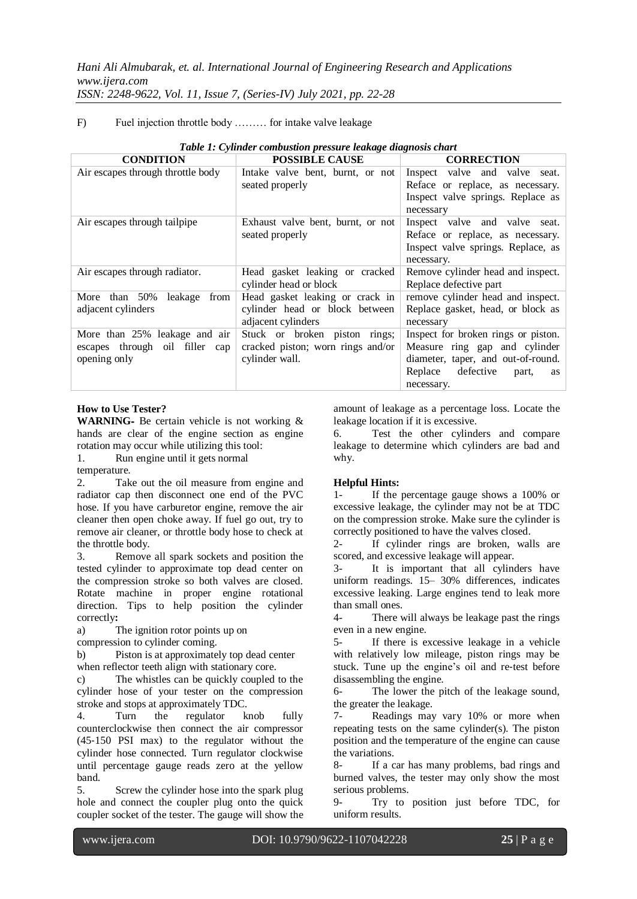F) Fuel injection throttle body ……… for intake valve leakage

| <b>CONDITION</b>                  | <b>POSSIBLE CAUSE</b>             | <b>CORRECTION</b>                   |  |  |
|-----------------------------------|-----------------------------------|-------------------------------------|--|--|
| Air escapes through throttle body | Intake valve bent, burnt, or not  | Inspect valve and valve seat.       |  |  |
|                                   | seated properly                   | Reface or replace, as necessary.    |  |  |
|                                   |                                   | Inspect valve springs. Replace as   |  |  |
|                                   |                                   | necessary                           |  |  |
| Air escapes through tailpipe      | Exhaust valve bent, burnt, or not | Inspect valve and valve seat.       |  |  |
|                                   | seated properly                   | Reface or replace, as necessary.    |  |  |
|                                   |                                   | Inspect valve springs. Replace, as  |  |  |
|                                   |                                   | necessary.                          |  |  |
| Air escapes through radiator.     | Head gasket leaking or cracked    | Remove cylinder head and inspect.   |  |  |
|                                   | cylinder head or block            | Replace defective part              |  |  |
| More than 50%<br>leakage<br>from  | Head gasket leaking or crack in   | remove cylinder head and inspect.   |  |  |
| adjacent cylinders                | cylinder head or block between    | Replace gasket, head, or block as   |  |  |
|                                   | adjacent cylinders                | necessary                           |  |  |
| More than 25% leakage and air     | Stuck or broken piston rings;     | Inspect for broken rings or piston. |  |  |
| escapes through oil filler cap    | cracked piston; worn rings and/or | Measure ring gap and cylinder       |  |  |
| opening only                      | cylinder wall.                    | diameter, taper, and out-of-round.  |  |  |
|                                   |                                   | defective<br>Replace<br>part,<br>as |  |  |
|                                   |                                   | necessary.                          |  |  |

## *Table 1: Cylinder combustion pressure leakage diagnosis chart*

# **How to Use Tester?**

WARNING- Be certain vehicle is not working & hands are clear of the engine section as engine rotation may occur while utilizing this tool:

1. Run engine until it gets normal temperature.

2. Take out the oil measure from engine and radiator cap then disconnect one end of the PVC hose. If you have carburetor engine, remove the air cleaner then open choke away. If fuel go out, try to remove air cleaner, or throttle body hose to check at the throttle body.

3. Remove all spark sockets and position the tested cylinder to approximate top dead center on the compression stroke so both valves are closed. Rotate machine in proper engine rotational direction. Tips to help position the cylinder correctly**:**

a) The ignition rotor points up on compression to cylinder coming.

b) Piston is at approximately top dead center when reflector teeth align with stationary core.

c) The whistles can be quickly coupled to the cylinder hose of your tester on the compression stroke and stops at approximately TDC.

4. Turn the regulator knob fully counterclockwise then connect the air compressor (45‐150 PSI max) to the regulator without the cylinder hose connected. Turn regulator clockwise until percentage gauge reads zero at the yellow band.

5. Screw the cylinder hose into the spark plug hole and connect the coupler plug onto the quick coupler socket of the tester. The gauge will show the amount of leakage as a percentage loss. Locate the leakage location if it is excessive.

6. Test the other cylinders and compare leakage to determine which cylinders are bad and why.

# **Helpful Hints:**

1- If the percentage gauge shows a 100% or excessive leakage, the cylinder may not be at TDC on the compression stroke. Make sure the cylinder is correctly positioned to have the valves closed.

2- If cylinder rings are broken, walls are scored, and excessive leakage will appear.

3- It is important that all cylinders have uniform readings. 15– 30% differences, indicates excessive leaking. Large engines tend to leak more than small ones.

4- There will always be leakage past the rings even in a new engine.

5- If there is excessive leakage in a vehicle with relatively low mileage, piston rings may be stuck. Tune up the engine's oil and re‐test before disassembling the engine.

6- The lower the pitch of the leakage sound, the greater the leakage.

7- Readings may vary 10% or more when repeating tests on the same cylinder(s). The piston position and the temperature of the engine can cause the variations.

8- If a car has many problems, bad rings and burned valves, the tester may only show the most serious problems.

9- Try to position just before TDC, for uniform results.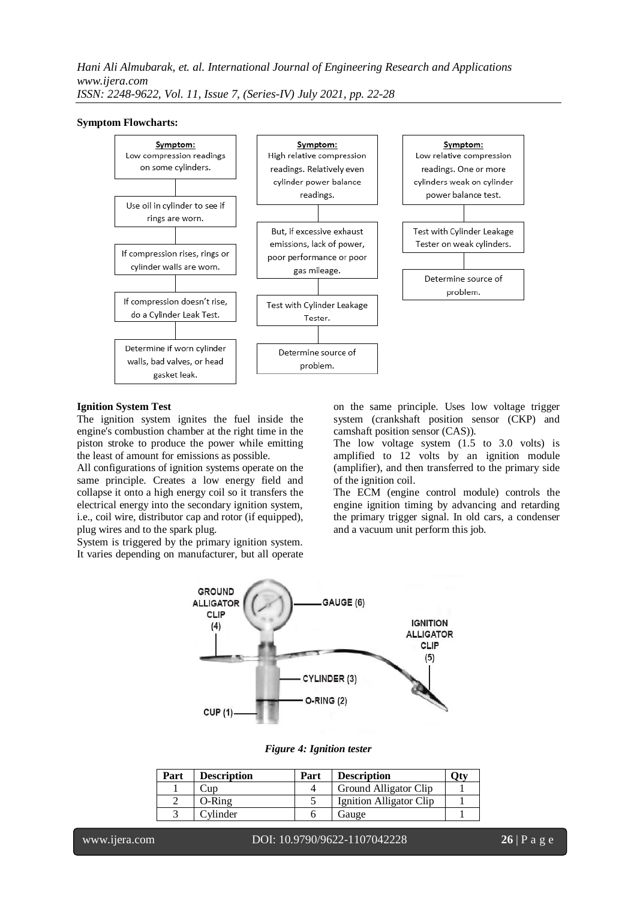### **Symptom Flowcharts:**



#### **Ignition System Test**

The ignition system ignites the fuel inside the engine's combustion chamber at the right time in the piston stroke to produce the power while emitting the least of amount for emissions as possible.

All configurations of ignition systems operate on the same principle. Creates a low energy field and collapse it onto a high energy coil so it transfers the electrical energy into the secondary ignition system, i.e., coil wire, distributor cap and rotor (if equipped), plug wires and to the spark plug.

System is triggered by the primary ignition system. It varies depending on manufacturer, but all operate on the same principle. Uses low voltage trigger system (crankshaft position sensor (CKP) and camshaft position sensor (CAS)).

The low voltage system (1.5 to 3.0 volts) is amplified to 12 volts by an ignition module (amplifier), and then transferred to the primary side of the ignition coil.

The ECM (engine control module) controls the engine ignition timing by advancing and retarding the primary trigger signal. In old cars, a condenser and a vacuum unit perform this job.



#### *Figure 4: Ignition tester*

| Part | <b>Description</b> | Part | <b>Description</b>      |  |
|------|--------------------|------|-------------------------|--|
|      | ∠`up               |      | Ground Alligator Clip   |  |
|      | $O-Ring$           |      | Ignition Alligator Clip |  |
|      | Cylinder           |      | Gauge                   |  |

www.ijera.com DOI: 10.9790/9622-1107042228 **26** | P a g e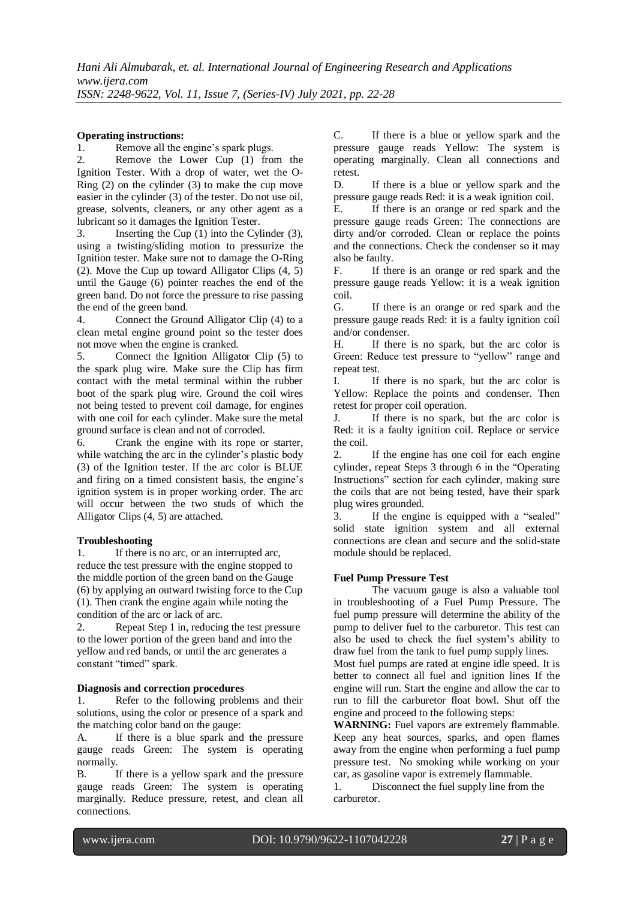### **Operating instructions:**

1. Remove all the engine's spark plugs.

2. Remove the Lower Cup (1) from the Ignition Tester. With a drop of water, wet the O-Ring  $(2)$  on the cylinder  $(3)$  to make the cup move easier in the cylinder (3) of the tester. Do not use oil, grease, solvents, cleaners, or any other agent as a lubricant so it damages the Ignition Tester.

3. Inserting the Cup (1) into the Cylinder (3), using a twisting/sliding motion to pressurize the Ignition tester. Make sure not to damage the O-Ring (2). Move the Cup up toward Alligator Clips  $(4, 5)$ until the Gauge (6) pointer reaches the end of the green band. Do not force the pressure to rise passing the end of the green band.

4. Connect the Ground Alligator Clip (4) to a clean metal engine ground point so the tester does not move when the engine is cranked.

5. Connect the Ignition Alligator Clip (5) to the spark plug wire. Make sure the Clip has firm contact with the metal terminal within the rubber boot of the spark plug wire. Ground the coil wires not being tested to prevent coil damage, for engines with one coil for each cylinder. Make sure the metal ground surface is clean and not of corroded.

6. Crank the engine with its rope or starter, while watching the arc in the cylinder's plastic body (3) of the Ignition tester. If the arc color is BLUE and firing on a timed consistent basis, the engine's ignition system is in proper working order. The arc will occur between the two studs of which the Alligator Clips (4, 5) are attached.

### **Troubleshooting**

1. If there is no arc, or an interrupted arc, reduce the test pressure with the engine stopped to the middle portion of the green band on the Gauge (6) by applying an outward twisting force to the Cup (1). Then crank the engine again while noting the condition of the arc or lack of arc.

2. Repeat Step 1 in, reducing the test pressure to the lower portion of the green band and into the yellow and red bands, or until the arc generates a constant "timed" spark.

#### **Diagnosis and correction procedures**

1. Refer to the following problems and their solutions, using the color or presence of a spark and the matching color band on the gauge:

A. If there is a blue spark and the pressure gauge reads Green: The system is operating normally.

B. If there is a yellow spark and the pressure gauge reads Green: The system is operating marginally. Reduce pressure, retest, and clean all connections.

C. If there is a blue or yellow spark and the pressure gauge reads Yellow: The system is operating marginally. Clean all connections and retest.

D. If there is a blue or yellow spark and the pressure gauge reads Red: it is a weak ignition coil.

E. If there is an orange or red spark and the pressure gauge reads Green: The connections are dirty and/or corroded. Clean or replace the points and the connections. Check the condenser so it may also be faulty.

F. If there is an orange or red spark and the pressure gauge reads Yellow: it is a weak ignition coil.

G. If there is an orange or red spark and the pressure gauge reads Red: it is a faulty ignition coil and/or condenser.

H. If there is no spark, but the arc color is Green: Reduce test pressure to "yellow" range and repeat test.

I. If there is no spark, but the arc color is Yellow: Replace the points and condenser. Then retest for proper coil operation.

J. If there is no spark, but the arc color is Red: it is a faulty ignition coil. Replace or service the coil.

2. If the engine has one coil for each engine cylinder, repeat Steps 3 through 6 in the "Operating Instructions" section for each cylinder, making sure the coils that are not being tested, have their spark plug wires grounded.

3. If the engine is equipped with a "sealed" solid state ignition system and all external connections are clean and secure and the solid-state module should be replaced.

### **Fuel Pump Pressure Test**

The vacuum gauge is also a valuable tool in troubleshooting of a Fuel Pump Pressure. The fuel pump pressure will determine the ability of the pump to deliver fuel to the carburetor. This test can also be used to check the fuel system's ability to draw fuel from the tank to fuel pump supply lines.

Most fuel pumps are rated at engine idle speed. It is better to connect all fuel and ignition lines If the engine will run. Start the engine and allow the car to run to fill the carburetor float bowl. Shut off the engine and proceed to the following steps:

**WARNING:** Fuel vapors are extremely flammable. Keep any heat sources, sparks, and open flames away from the engine when performing a fuel pump pressure test. No smoking while working on your car, as gasoline vapor is extremely flammable.

1. Disconnect the fuel supply line from the carburetor.